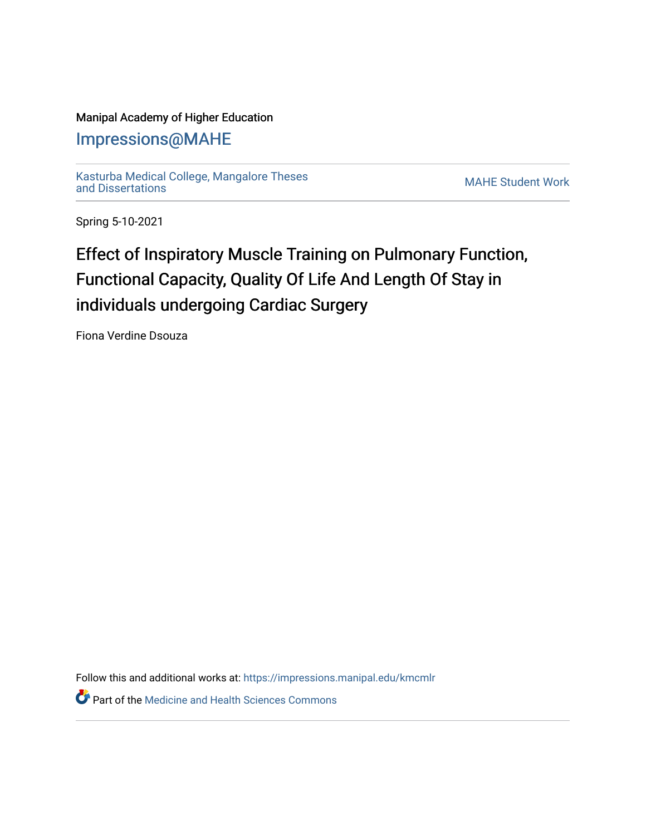## Manipal Academy of Higher Education

## [Impressions@MAHE](https://impressions.manipal.edu/)

[Kasturba Medical College, Mangalore Theses](https://impressions.manipal.edu/kmcmlr) [and Dissertations](https://impressions.manipal.edu/kmcmlr) [MAHE Student Work](https://impressions.manipal.edu/student-work) 

Spring 5-10-2021

## Effect of Inspiratory Muscle Training on Pulmonary Function, Functional Capacity, Quality Of Life And Length Of Stay in individuals undergoing Cardiac Surgery

Fiona Verdine Dsouza

Follow this and additional works at: [https://impressions.manipal.edu/kmcmlr](https://impressions.manipal.edu/kmcmlr?utm_source=impressions.manipal.edu%2Fkmcmlr%2F112&utm_medium=PDF&utm_campaign=PDFCoverPages) 

**Part of the Medicine and Health Sciences Commons**